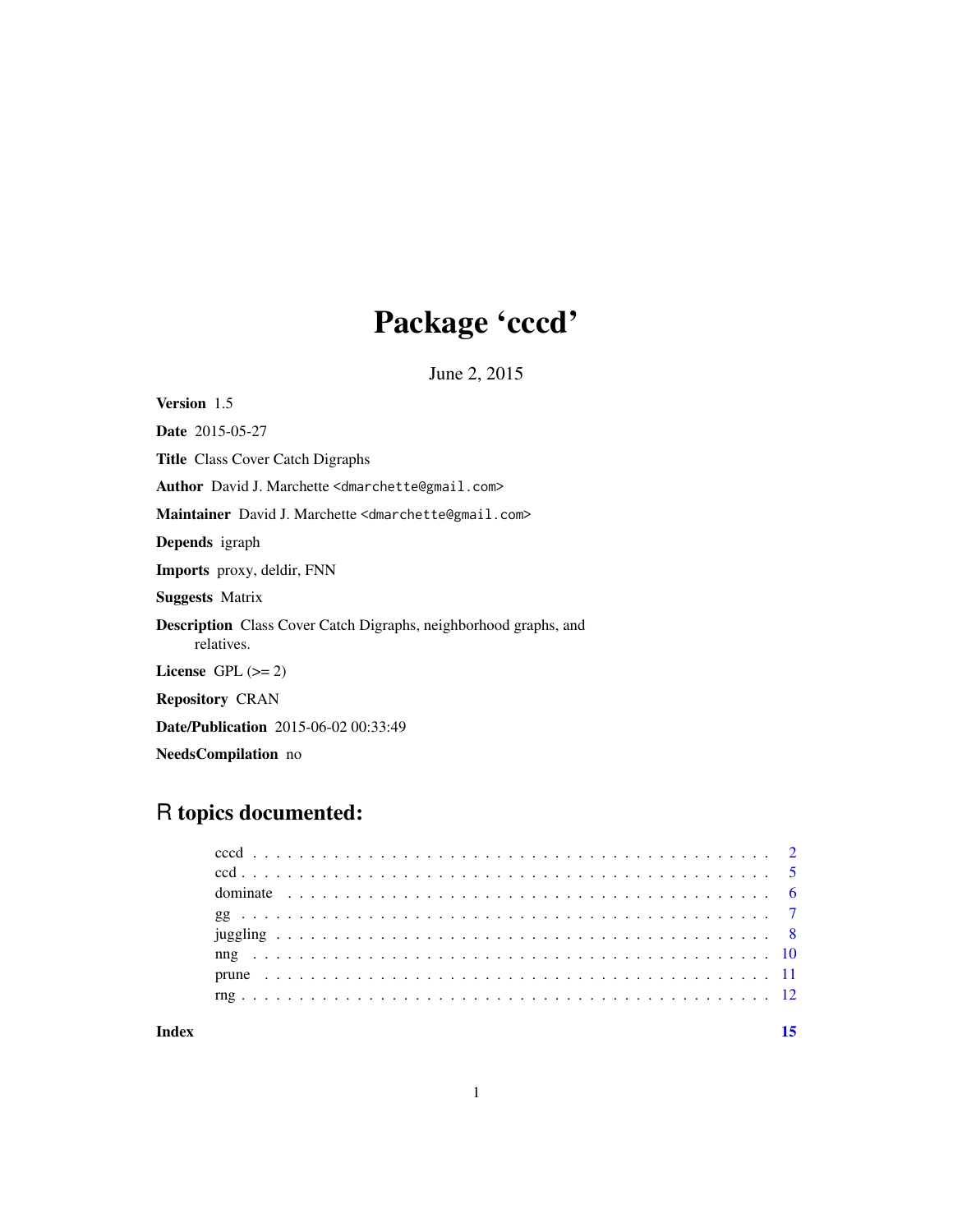# Package 'cccd'

June 2, 2015

<span id="page-0-0"></span>Version 1.5

Date 2015-05-27 Title Class Cover Catch Digraphs Author David J. Marchette <dmarchette@gmail.com> Maintainer David J. Marchette <dmarchette@gmail.com> Depends igraph Imports proxy, deldir, FNN Suggests Matrix Description Class Cover Catch Digraphs, neighborhood graphs, and relatives. License GPL  $(>= 2)$ Repository CRAN Date/Publication 2015-06-02 00:33:49 NeedsCompilation no

# R topics documented:

#### **Index** [15](#page-14-0)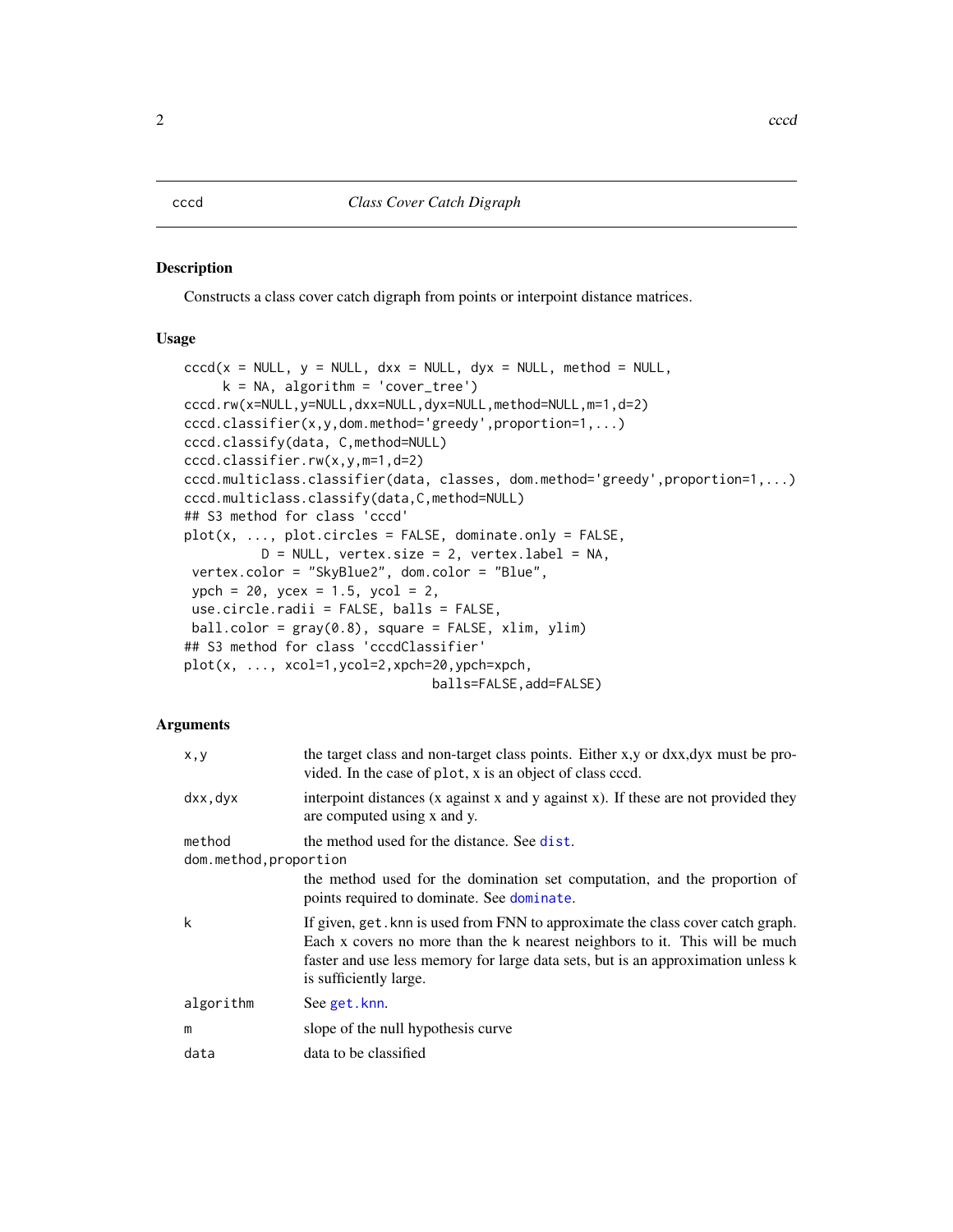#### <span id="page-1-1"></span><span id="page-1-0"></span>Description

Constructs a class cover catch digraph from points or interpoint distance matrices.

#### Usage

```
cccd(x = NULL, y = NULL, dxx = NULL, dyx = NULL, method = NULL,k = NA, algorithm = 'cover_tree')
cccd.rw(x=NULL,y=NULL,dxx=NULL,dyx=NULL,method=NULL,m=1,d=2)
cccd.classifier(x,y,dom.method='greedy',proportion=1,...)
cccd.classify(data, C,method=NULL)
cccd.classifier.rw(x,y,m=1,d=2)
cccd.multiclass.classifier(data, classes, dom.method='greedy',proportion=1,...)
cccd.multiclass.classify(data,C,method=NULL)
## S3 method for class 'cccd'
plot(x, ..., plot.circles = FALSE, dominate.only = FALSE,
          D = NULL, vertex.size = 2, vertex.label = NA,
 vertex.color = "SkyBlue2", dom.color = "Blue",
 ypch = 20, ycex = 1.5, ycol = 2,
use.circle.radii = FALSE, balls = FALSE,
 ball.color = gray(0.8), square = FALSE, xlim, ylim)
## S3 method for class 'cccdClassifier'
plot(x, ..., xcol=1,ycol=2,xpch=20,ypch=xpch,
                                balls=FALSE,add=FALSE)
```
#### Arguments

| x, y                   | the target class and non-target class points. Either x, y or dxx, dyx must be pro-<br>vided. In the case of plot, x is an object of class cccd.                                                                                                                              |
|------------------------|------------------------------------------------------------------------------------------------------------------------------------------------------------------------------------------------------------------------------------------------------------------------------|
| dxx, dyx               | interpoint distances (x against x and y against x). If these are not provided they<br>are computed using x and y.                                                                                                                                                            |
| method                 | the method used for the distance. See dist.                                                                                                                                                                                                                                  |
| dom.method, proportion |                                                                                                                                                                                                                                                                              |
|                        | the method used for the domination set computation, and the proportion of<br>points required to dominate. See dominate.                                                                                                                                                      |
| k                      | If given, get. knn is used from FNN to approximate the class cover catch graph.<br>Each x covers no more than the k nearest neighbors to it. This will be much<br>faster and use less memory for large data sets, but is an approximation unless k<br>is sufficiently large. |
| algorithm              | See get.knn.                                                                                                                                                                                                                                                                 |
| m                      | slope of the null hypothesis curve                                                                                                                                                                                                                                           |
| data                   | data to be classified                                                                                                                                                                                                                                                        |
|                        |                                                                                                                                                                                                                                                                              |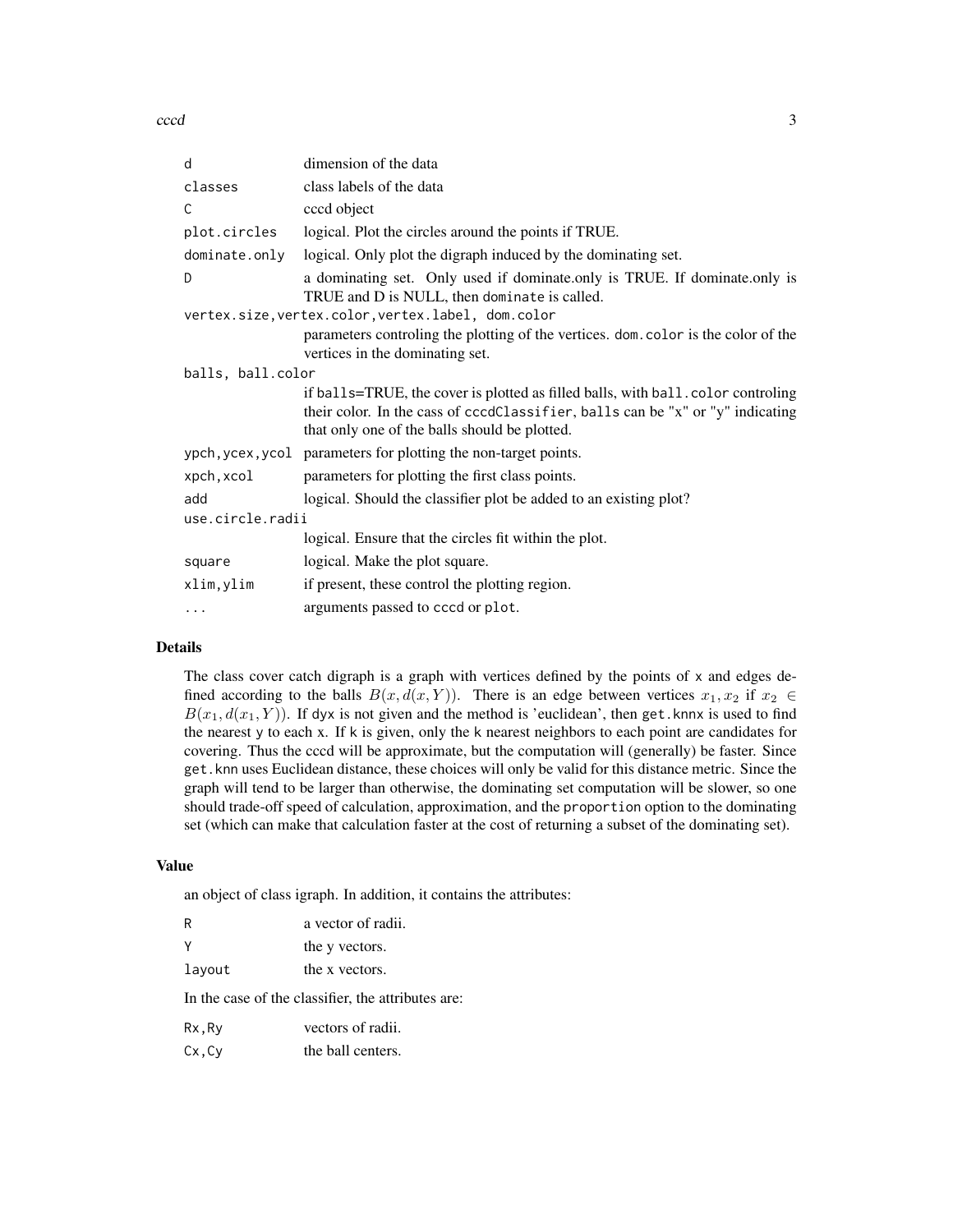cccd 3

| dimension of the data                                                                                                                                                                                               |  |  |
|---------------------------------------------------------------------------------------------------------------------------------------------------------------------------------------------------------------------|--|--|
| class labels of the data                                                                                                                                                                                            |  |  |
| cccd object                                                                                                                                                                                                         |  |  |
| logical. Plot the circles around the points if TRUE.                                                                                                                                                                |  |  |
| logical. Only plot the digraph induced by the dominating set.                                                                                                                                                       |  |  |
| a dominating set. Only used if dominate only is TRUE. If dominate only is<br>TRUE and D is NULL, then dominate is called.                                                                                           |  |  |
| vertex.size, vertex.color, vertex.label, dom.color                                                                                                                                                                  |  |  |
| parameters controling the plotting of the vertices. dom. color is the color of the<br>vertices in the dominating set.                                                                                               |  |  |
| balls, ball.color                                                                                                                                                                                                   |  |  |
| if balls=TRUE, the cover is plotted as filled balls, with ball. color controling<br>their color. In the cass of cccdClassifier, balls can be "x" or "y" indicating<br>that only one of the balls should be plotted. |  |  |
| ypch, ycex, ycol parameters for plotting the non-target points.                                                                                                                                                     |  |  |
| parameters for plotting the first class points.                                                                                                                                                                     |  |  |
| logical. Should the classifier plot be added to an existing plot?                                                                                                                                                   |  |  |
| use.circle.radii                                                                                                                                                                                                    |  |  |
| logical. Ensure that the circles fit within the plot.                                                                                                                                                               |  |  |
| logical. Make the plot square.                                                                                                                                                                                      |  |  |
| if present, these control the plotting region.                                                                                                                                                                      |  |  |
| arguments passed to cccd or plot.                                                                                                                                                                                   |  |  |
|                                                                                                                                                                                                                     |  |  |

#### Details

The class cover catch digraph is a graph with vertices defined by the points of x and edges defined according to the balls  $B(x, d(x, Y))$ . There is an edge between vertices  $x_1, x_2$  if  $x_2 \in$  $B(x_1, d(x_1, Y))$ . If dyx is not given and the method is 'euclidean', then get.knnx is used to find the nearest y to each x. If k is given, only the k nearest neighbors to each point are candidates for covering. Thus the cccd will be approximate, but the computation will (generally) be faster. Since get.knn uses Euclidean distance, these choices will only be valid for this distance metric. Since the graph will tend to be larger than otherwise, the dominating set computation will be slower, so one should trade-off speed of calculation, approximation, and the proportion option to the dominating set (which can make that calculation faster at the cost of returning a subset of the dominating set).

#### Value

an object of class igraph. In addition, it contains the attributes:

| R      | a vector of radii. |
|--------|--------------------|
| Υ      | the y vectors.     |
| layout | the x vectors.     |

In the case of the classifier, the attributes are:

| vectors of radii. |
|-------------------|
|                   |

Cx,Cy the ball centers.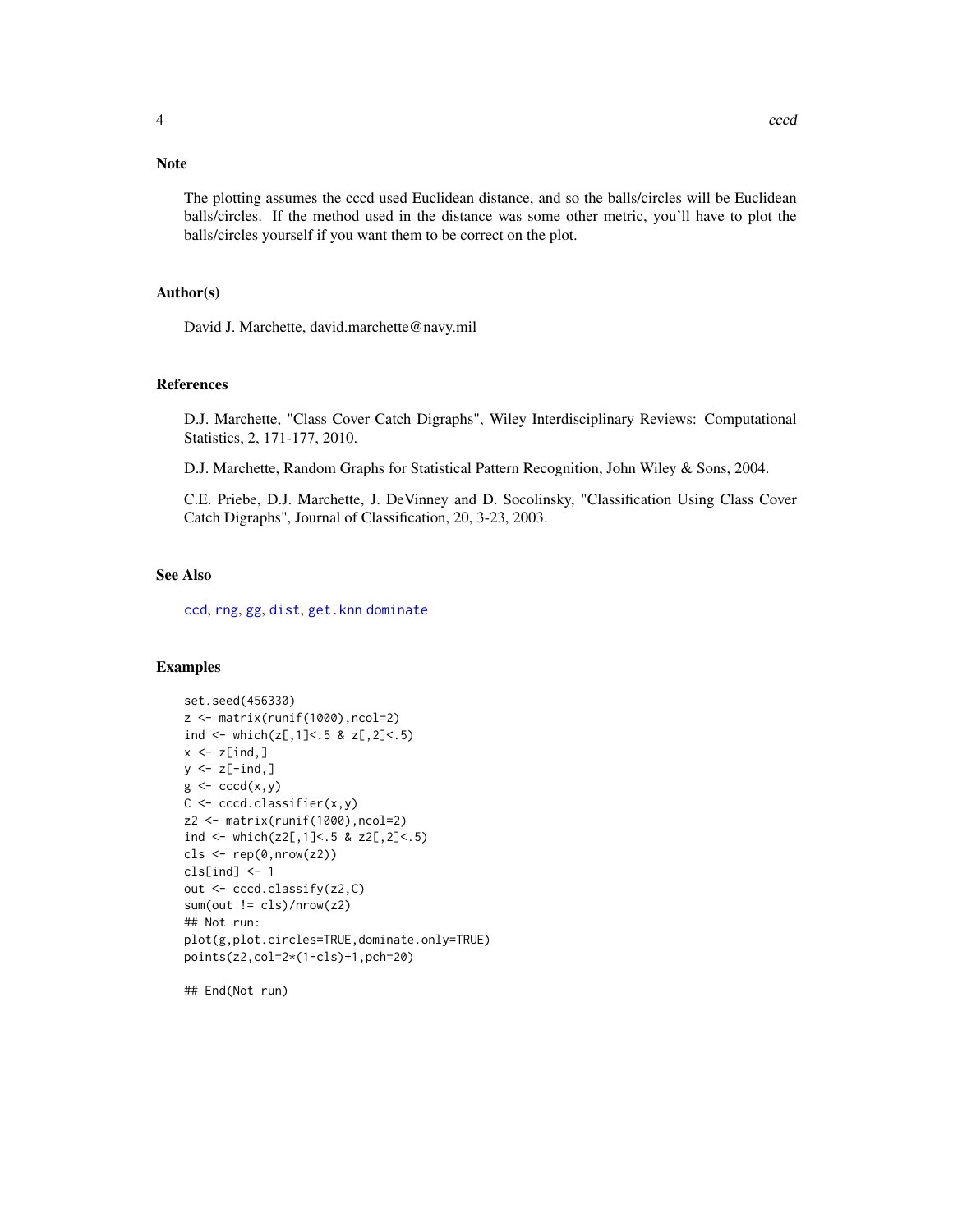# <span id="page-3-0"></span>Note

The plotting assumes the cccd used Euclidean distance, and so the balls/circles will be Euclidean balls/circles. If the method used in the distance was some other metric, you'll have to plot the balls/circles yourself if you want them to be correct on the plot.

# Author(s)

David J. Marchette, david.marchette@navy.mil

#### References

D.J. Marchette, "Class Cover Catch Digraphs", Wiley Interdisciplinary Reviews: Computational Statistics, 2, 171-177, 2010.

D.J. Marchette, Random Graphs for Statistical Pattern Recognition, John Wiley & Sons, 2004.

C.E. Priebe, D.J. Marchette, J. DeVinney and D. Socolinsky, "Classification Using Class Cover Catch Digraphs", Journal of Classification, 20, 3-23, 2003.

#### See Also

[ccd](#page-4-1), [rng](#page-11-1), [gg](#page-6-1), [dist](#page-0-0), [get.knn](#page-0-0) [dominate](#page-5-1)

# Examples

```
set.seed(456330)
z <- matrix(runif(1000),ncol=2)
ind <- which(z[,1] < .5 & z[,2] < .5)
x \leq z[ind,]
y \leftarrow z[-ind, ]g \leftarrow cccd(x,y)C <- cccd.classifier(x,y)
z2 <- matrix(runif(1000),ncol=2)
ind \le which(z2[,1]\le.5 & z2[,2]\le.5)
cls \leftarrow rep(0, nrow(z2))cls[ind] <- 1
out <- cccd.classify(z2,C)
sum(out != cls)/nrow(z2)## Not run:
plot(g,plot.circles=TRUE,dominate.only=TRUE)
points(z2,col=2*(1-cls)+1,pch=20)
```
## End(Not run)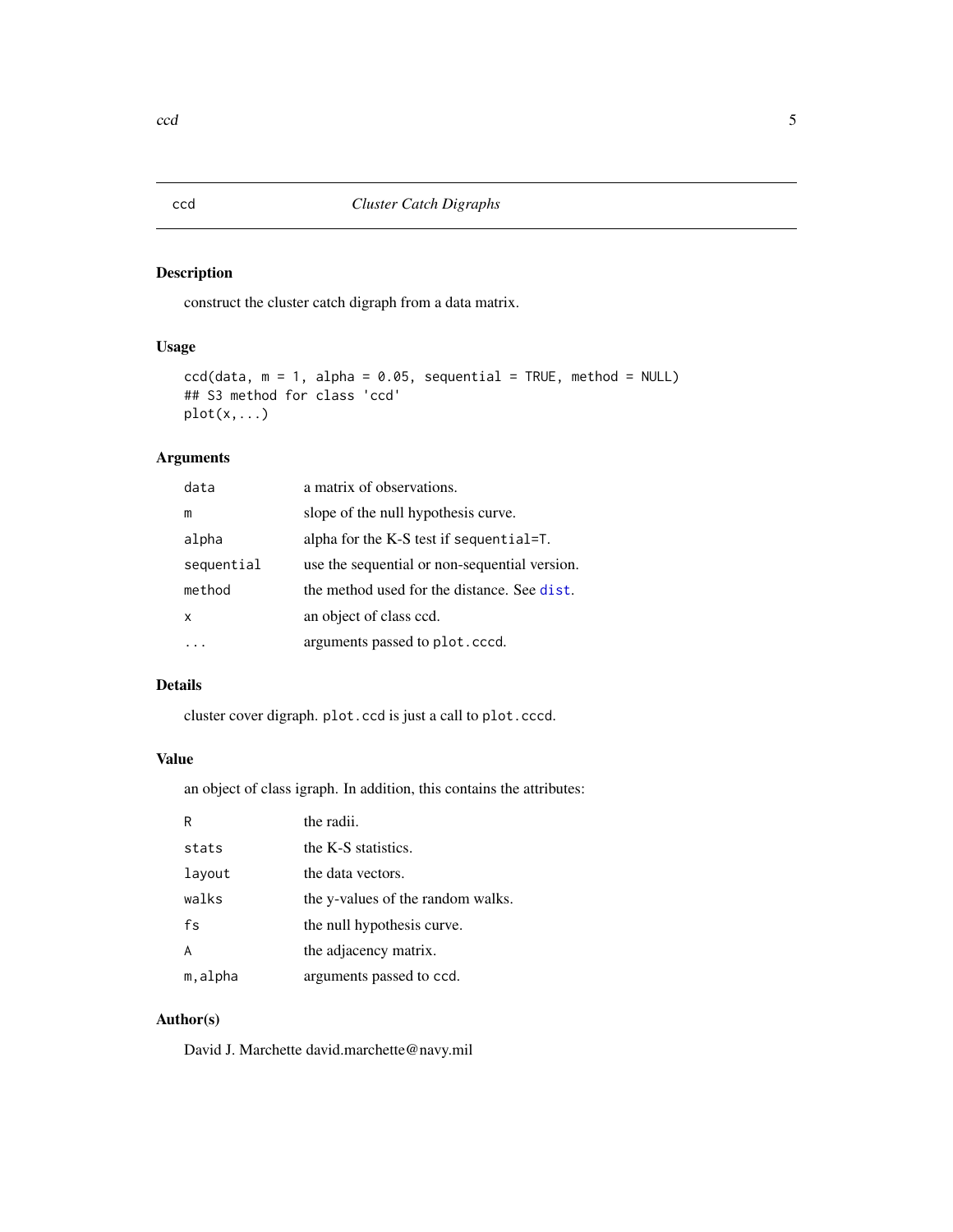# <span id="page-4-1"></span><span id="page-4-0"></span>Description

construct the cluster catch digraph from a data matrix.

## Usage

```
ccd(data, m = 1, alpha = 0.05, sequential = TRUE, method = NULL)## S3 method for class 'ccd'
plot(x,...)
```
# Arguments

| data                      | a matrix of observations.                     |
|---------------------------|-----------------------------------------------|
| m                         | slope of the null hypothesis curve.           |
| alpha                     | alpha for the K-S test if sequential= $T$ .   |
| sequential                | use the sequential or non-sequential version. |
| method                    | the method used for the distance. See dist.   |
| $\boldsymbol{\mathsf{x}}$ | an object of class ccd.                       |
|                           | arguments passed to plot.cccd.                |

# Details

cluster cover digraph. plot.ccd is just a call to plot.cccd.

#### Value

an object of class igraph. In addition, this contains the attributes:

| R       | the radii.                        |
|---------|-----------------------------------|
| stats   | the K-S statistics.               |
| layout  | the data vectors.                 |
| walks   | the y-values of the random walks. |
| fs      | the null hypothesis curve.        |
| A       | the adjacency matrix.             |
| m,alpha | arguments passed to ccd.          |

# Author(s)

David J. Marchette david.marchette@navy.mil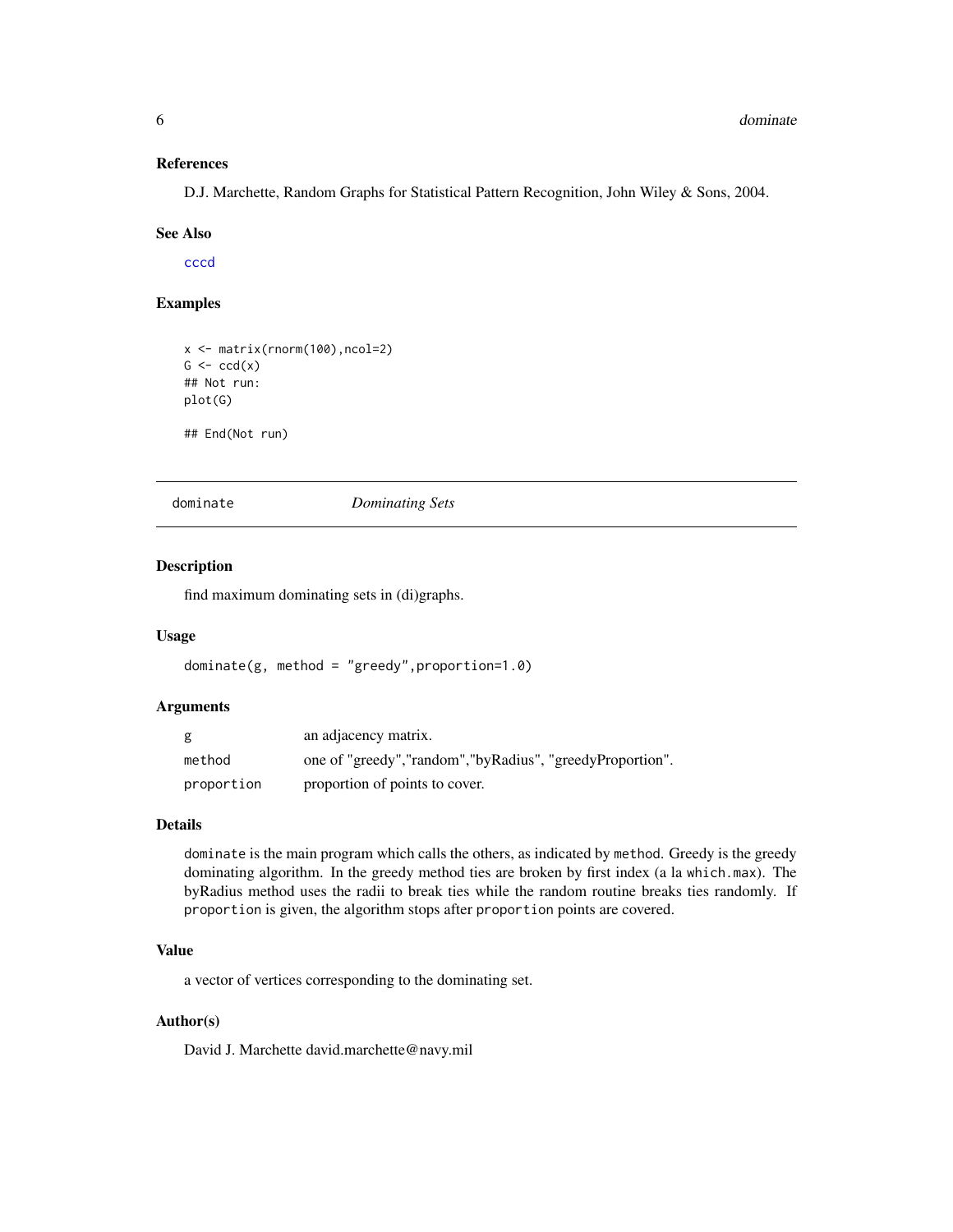#### <span id="page-5-0"></span>References

D.J. Marchette, Random Graphs for Statistical Pattern Recognition, John Wiley & Sons, 2004.

#### See Also

[cccd](#page-1-1)

## Examples

```
x <- matrix(rnorm(100),ncol=2)
G \leftarrow \text{ccd}(x)## Not run:
plot(G)
## End(Not run)
```
<span id="page-5-1"></span>dominate *Dominating Sets*

#### Description

find maximum dominating sets in (di)graphs.

#### Usage

dominate(g, method = "greedy",proportion=1.0)

#### Arguments

| g          | an adjacency matrix.                                       |
|------------|------------------------------------------------------------|
| method     | one of "greedy", "random", "byRadius", "greedyProportion". |
| proportion | proportion of points to cover.                             |

#### Details

dominate is the main program which calls the others, as indicated by method. Greedy is the greedy dominating algorithm. In the greedy method ties are broken by first index (a la which.max). The byRadius method uses the radii to break ties while the random routine breaks ties randomly. If proportion is given, the algorithm stops after proportion points are covered.

## Value

a vector of vertices corresponding to the dominating set.

# Author(s)

David J. Marchette david.marchette@navy.mil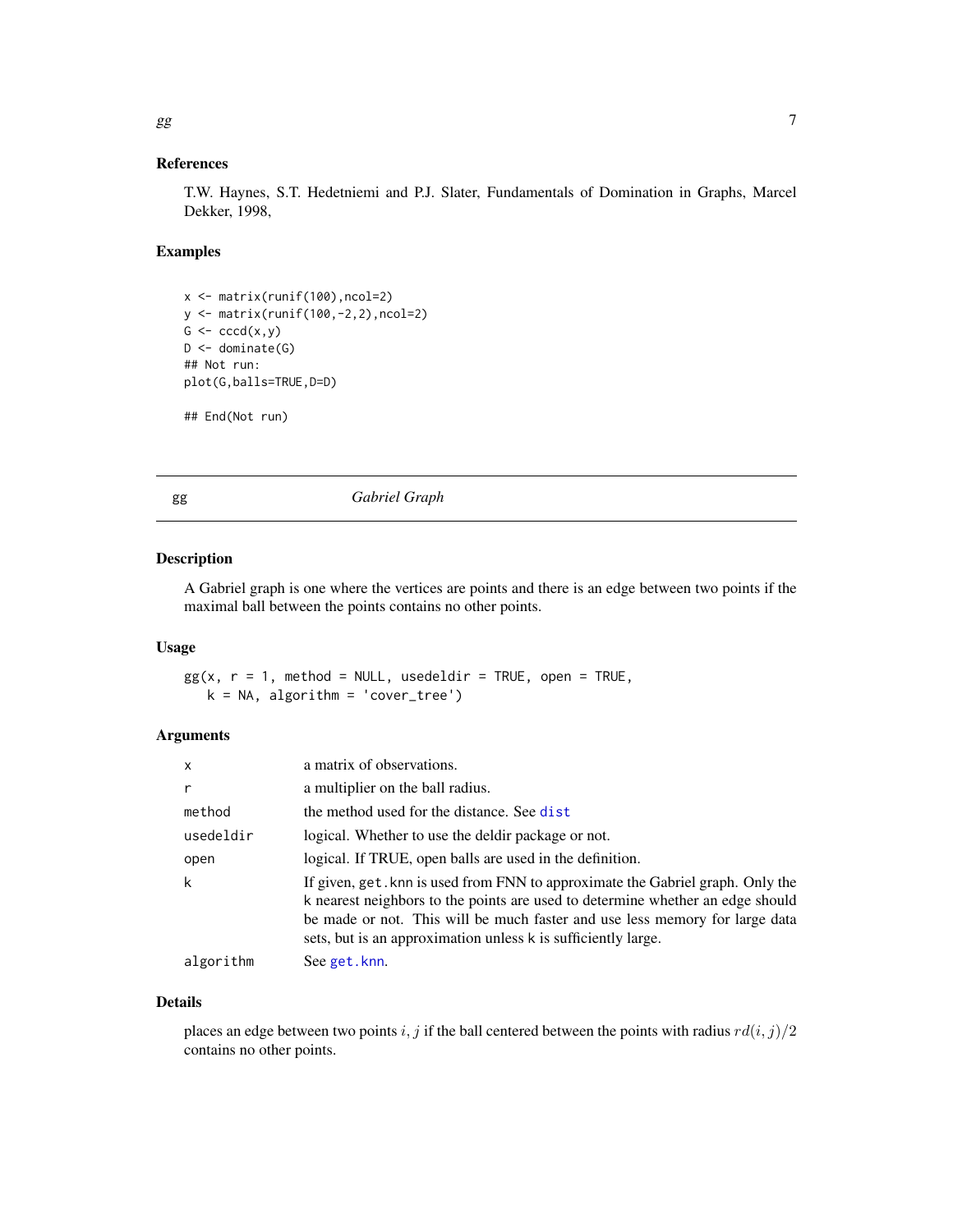#### <span id="page-6-0"></span>References

T.W. Haynes, S.T. Hedetniemi and P.J. Slater, Fundamentals of Domination in Graphs, Marcel Dekker, 1998,

#### Examples

```
x <- matrix(runif(100),ncol=2)
y <- matrix(runif(100,-2,2),ncol=2)
G \leftarrow cccd(x,y)D \leftarrow dominate(G)
## Not run:
plot(G,balls=TRUE,D=D)
```

```
## End(Not run)
```
<span id="page-6-1"></span>gg *Gabriel Graph*

#### Description

A Gabriel graph is one where the vertices are points and there is an edge between two points if the maximal ball between the points contains no other points.

#### Usage

 $gg(x, r = 1, method = NULL, useded  $dir = TRUE$ , open = TRUE,$  $k = NA$ , algorithm = 'cover\_tree')

# Arguments

| $\mathsf{x}$ | a matrix of observations.                                                                                                                                                                                                                                                                                        |
|--------------|------------------------------------------------------------------------------------------------------------------------------------------------------------------------------------------------------------------------------------------------------------------------------------------------------------------|
| r            | a multiplier on the ball radius.                                                                                                                                                                                                                                                                                 |
| method       | the method used for the distance. See dist                                                                                                                                                                                                                                                                       |
| usedeldir    | logical. Whether to use the deldir package or not.                                                                                                                                                                                                                                                               |
| open         | logical. If TRUE, open balls are used in the definition.                                                                                                                                                                                                                                                         |
| k            | If given, get. knn is used from FNN to approximate the Gabriel graph. Only the<br>k nearest neighbors to the points are used to determine whether an edge should<br>be made or not. This will be much faster and use less memory for large data<br>sets, but is an approximation unless k is sufficiently large. |
| algorithm    | See get.knn.                                                                                                                                                                                                                                                                                                     |

#### Details

places an edge between two points i, j if the ball centered between the points with radius  $rd(i, j)/2$ contains no other points.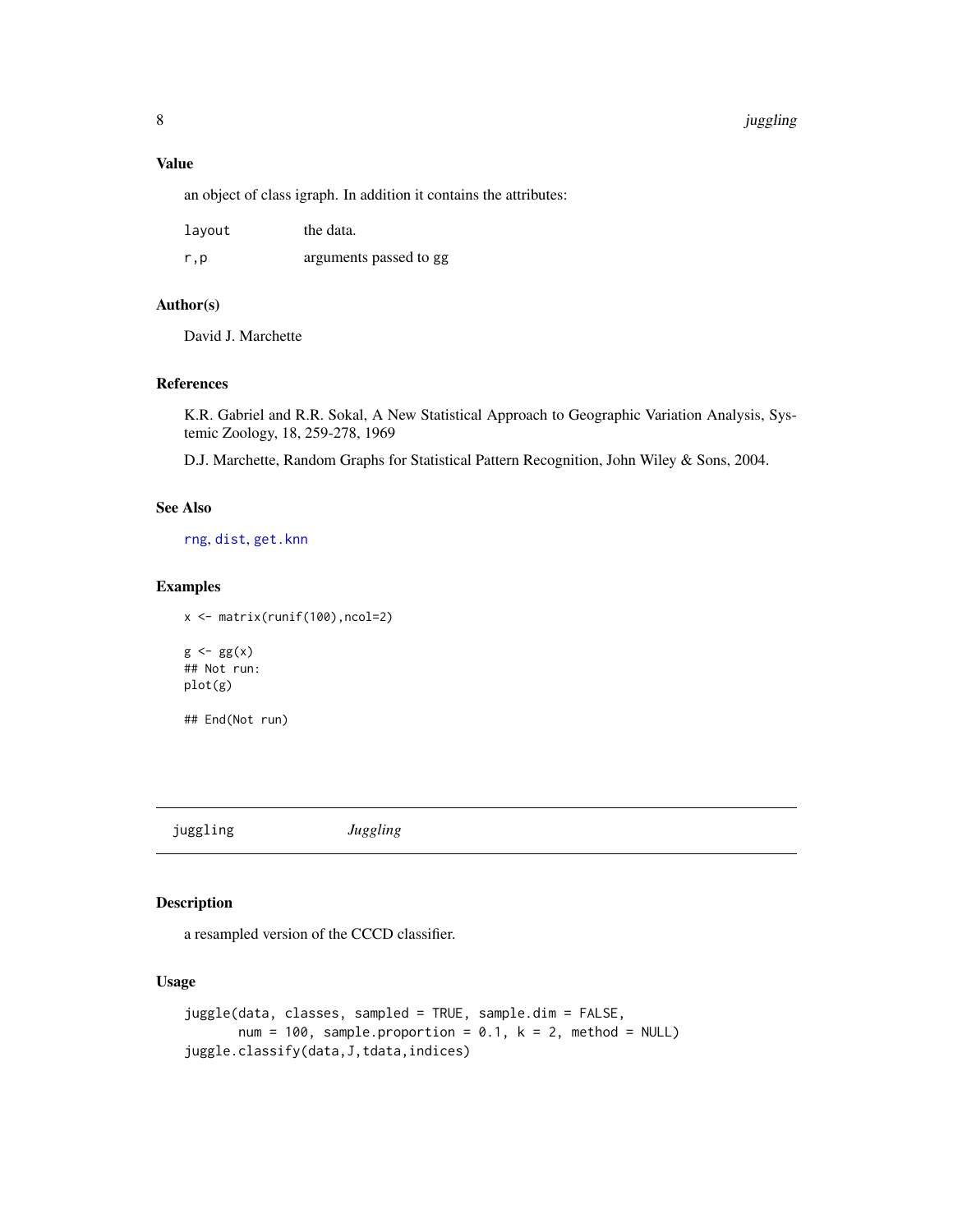#### <span id="page-7-0"></span>8 in the set of the set of the set of the set of the set of the set of the set of the set of the set of the set of the set of the set of the set of the set of the set of the set of the set of the set of the set of the set

#### Value

an object of class igraph. In addition it contains the attributes:

| layout | the data.              |
|--------|------------------------|
| r.p    | arguments passed to gg |

# Author(s)

David J. Marchette

#### References

K.R. Gabriel and R.R. Sokal, A New Statistical Approach to Geographic Variation Analysis, Systemic Zoology, 18, 259-278, 1969

D.J. Marchette, Random Graphs for Statistical Pattern Recognition, John Wiley & Sons, 2004.

# See Also

[rng](#page-11-1), [dist](#page-0-0), [get.knn](#page-0-0)

#### Examples

x <- matrix(runif(100),ncol=2)

 $g \leftarrow gg(x)$ ## Not run: plot(g)

## End(Not run)

juggling *Juggling*

# Description

a resampled version of the CCCD classifier.

#### Usage

```
juggle(data, classes, sampled = TRUE, sample.dim = FALSE,
      num = 100, sample.proportion = 0.1, k = 2, method = NULL)
juggle.classify(data,J,tdata,indices)
```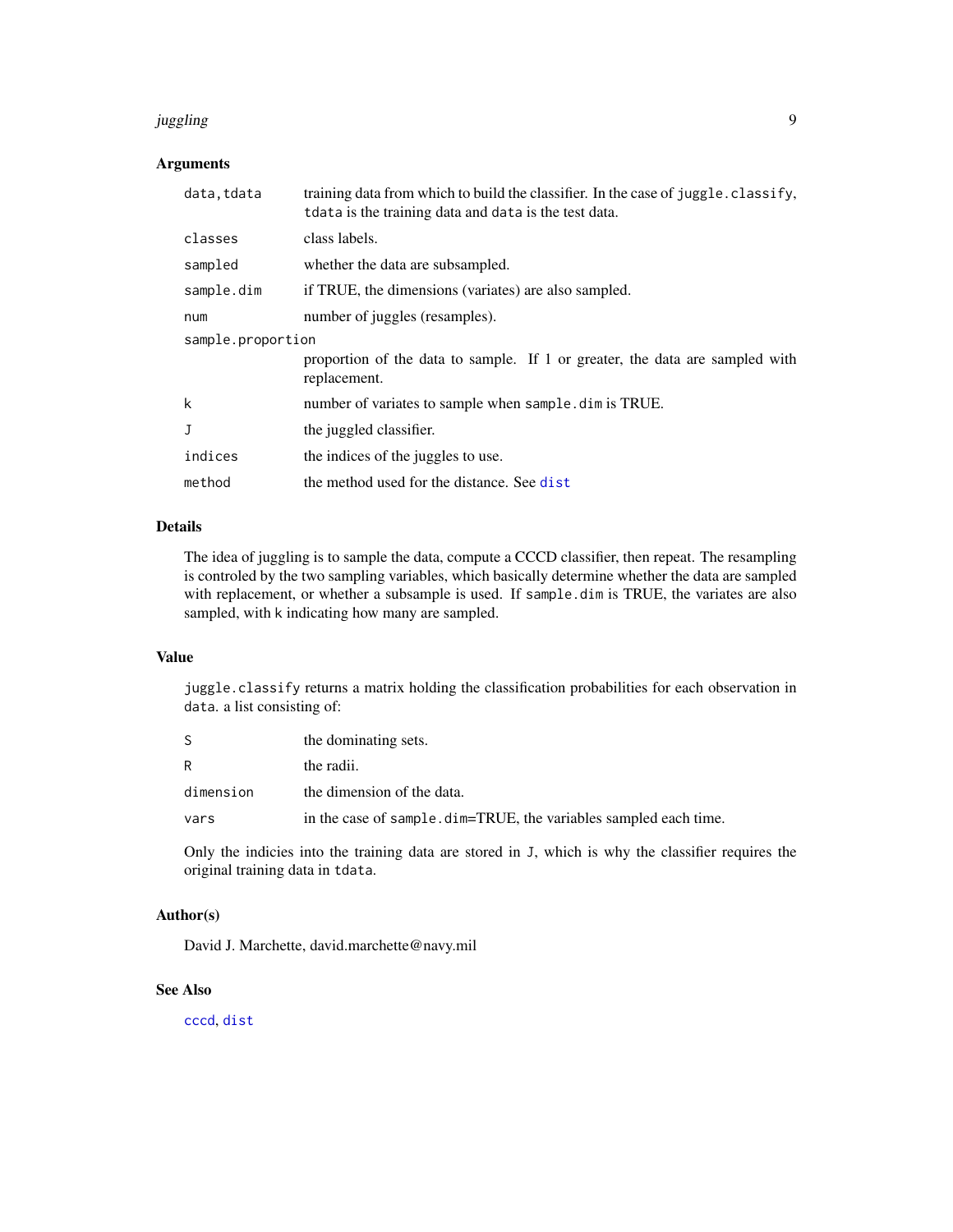#### <span id="page-8-0"></span>juggling 9

#### Arguments

| data.tdata        | training data from which to build the classifier. In the case of juggle.classify,<br>t data is the training data and data is the test data. |  |
|-------------------|---------------------------------------------------------------------------------------------------------------------------------------------|--|
| classes           | class labels.                                                                                                                               |  |
| sampled           | whether the data are subsampled.                                                                                                            |  |
| sample.dim        | if TRUE, the dimensions (variates) are also sampled.                                                                                        |  |
| num               | number of juggles (resamples).                                                                                                              |  |
| sample.proportion |                                                                                                                                             |  |
|                   | proportion of the data to sample. If 1 or greater, the data are sampled with<br>replacement.                                                |  |
| k                 | number of variates to sample when sample. dim is TRUE.                                                                                      |  |
| J                 | the juggled classifier.                                                                                                                     |  |
| indices           | the indices of the juggles to use.                                                                                                          |  |
| method            | the method used for the distance. See dist                                                                                                  |  |

## Details

The idea of juggling is to sample the data, compute a CCCD classifier, then repeat. The resampling is controled by the two sampling variables, which basically determine whether the data are sampled with replacement, or whether a subsample is used. If sample.dim is TRUE, the variates are also sampled, with k indicating how many are sampled.

#### Value

juggle.classify returns a matrix holding the classification probabilities for each observation in data. a list consisting of:

|           | the dominating sets.                                              |
|-----------|-------------------------------------------------------------------|
| R         | the radii.                                                        |
| dimension | the dimension of the data.                                        |
| vars      | in the case of sample. dim=TRUE, the variables sampled each time. |

Only the indicies into the training data are stored in J, which is why the classifier requires the original training data in tdata.

# Author(s)

David J. Marchette, david.marchette@navy.mil

#### See Also

[cccd](#page-1-1), [dist](#page-0-0)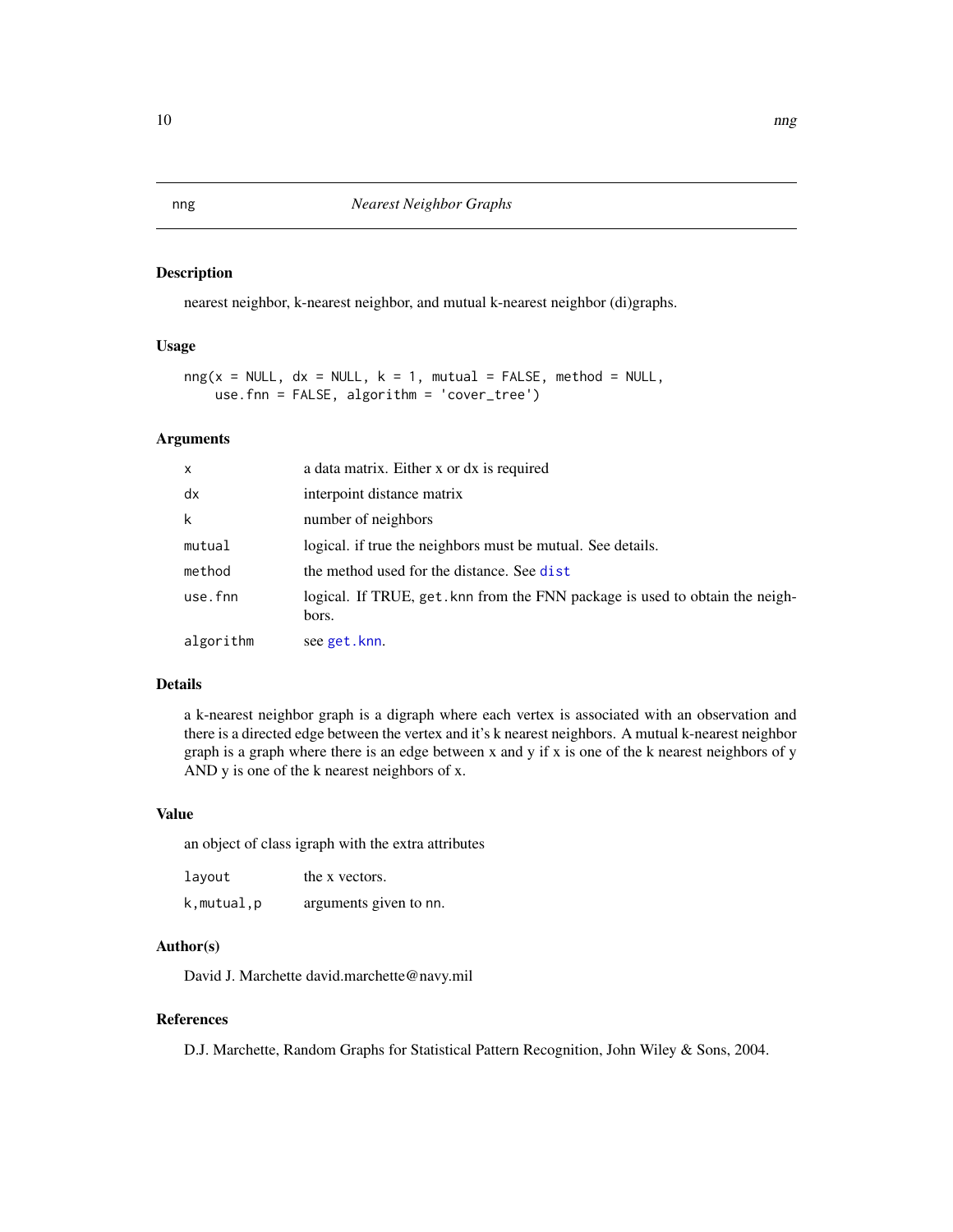# Description

nearest neighbor, k-nearest neighbor, and mutual k-nearest neighbor (di)graphs.

#### Usage

```
nng(x = NULL, dx = NULL, k = 1, mutual = FALSE, method = NULL,use.fnn = FALSE, algorithm = 'cover_tree')
```
#### Arguments

| $\mathsf{x}$ | a data matrix. Either x or dx is required                                            |
|--------------|--------------------------------------------------------------------------------------|
| dx           | interpoint distance matrix                                                           |
| k            | number of neighbors                                                                  |
| mutual       | logical. if true the neighbors must be mutual. See details.                          |
| method       | the method used for the distance. See dist                                           |
| use.fnn      | logical. If TRUE, get knn from the FNN package is used to obtain the neigh-<br>bors. |
| algorithm    | see get.knn.                                                                         |

#### Details

a k-nearest neighbor graph is a digraph where each vertex is associated with an observation and there is a directed edge between the vertex and it's k nearest neighbors. A mutual k-nearest neighbor graph is a graph where there is an edge between x and y if x is one of the k nearest neighbors of y AND y is one of the k nearest neighbors of x.

#### Value

an object of class igraph with the extra attributes

| layout     | the x vectors.         |
|------------|------------------------|
| k,mutual,p | arguments given to nn. |

#### Author(s)

David J. Marchette david.marchette@navy.mil

#### References

D.J. Marchette, Random Graphs for Statistical Pattern Recognition, John Wiley & Sons, 2004.

<span id="page-9-0"></span>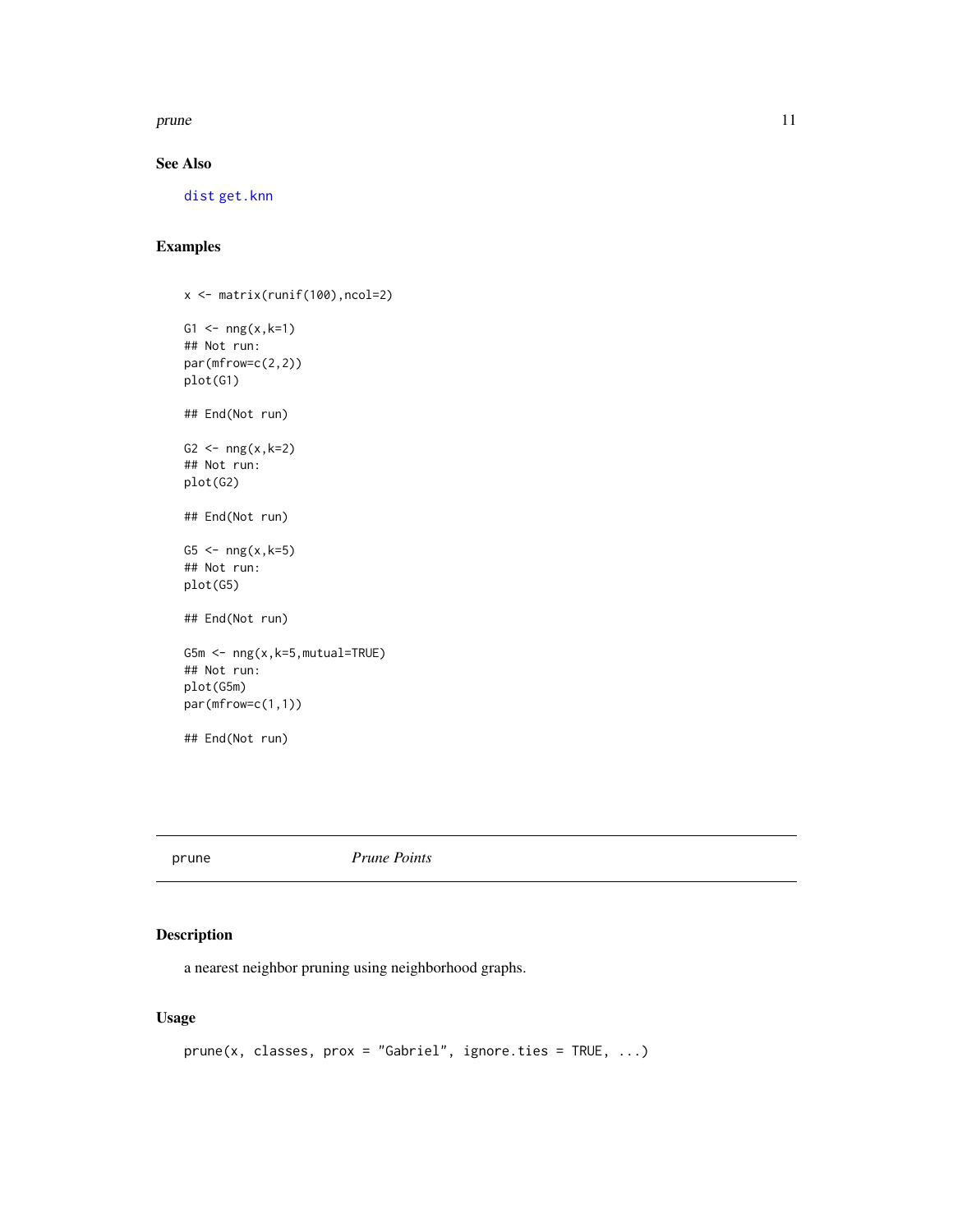<span id="page-10-0"></span>prune that the contract of the contract of the contract of the contract of the contract of the contract of the contract of the contract of the contract of the contract of the contract of the contract of the contract of the

# See Also

[dist](#page-0-0) [get.knn](#page-0-0)

# Examples

x <- matrix(runif(100),ncol=2) G1 <-  $nng(x, k=1)$ ## Not run: par(mfrow=c(2,2)) plot(G1) ## End(Not run) G2 <-  $nng(x, k=2)$ ## Not run: plot(G2) ## End(Not run) G5  $\leftarrow$  nng(x,k=5) ## Not run: plot(G5) ## End(Not run) G5m <- nng(x,k=5,mutual=TRUE) ## Not run: plot(G5m) par(mfrow=c(1,1)) ## End(Not run)

prune *Prune Points*

# Description

a nearest neighbor pruning using neighborhood graphs.

# Usage

```
prune(x, classes, prox = "Gabriel", ignore.ties = TRUE, ...)
```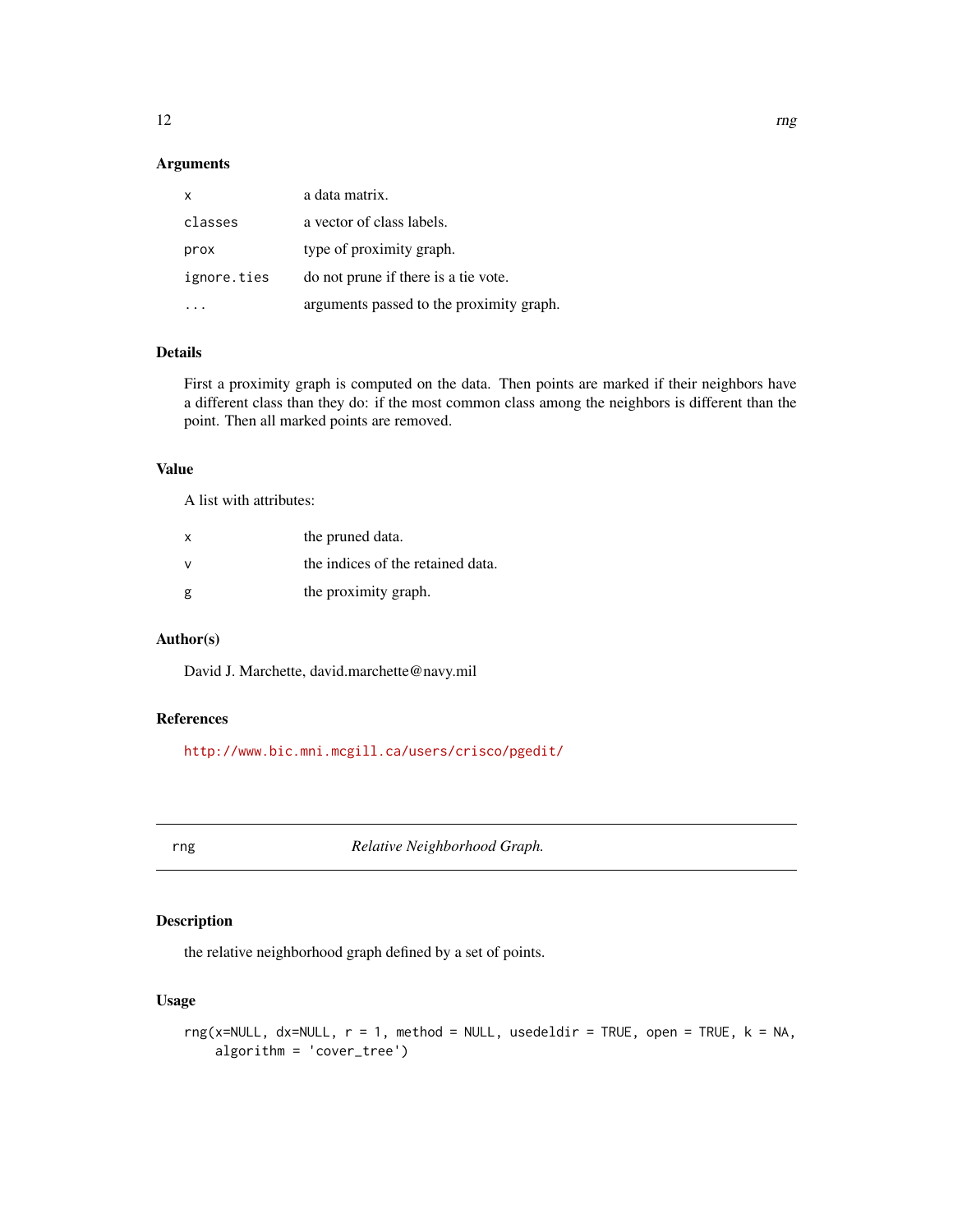# <span id="page-11-0"></span>Arguments

| $\mathsf{x}$ | a data matrix.                           |
|--------------|------------------------------------------|
| classes      | a vector of class labels.                |
| prox         | type of proximity graph.                 |
| ignore.ties  | do not prune if there is a tie vote.     |
|              | arguments passed to the proximity graph. |

# Details

First a proximity graph is computed on the data. Then points are marked if their neighbors have a different class than they do: if the most common class among the neighbors is different than the point. Then all marked points are removed.

#### Value

A list with attributes:

| x | the pruned data.                  |
|---|-----------------------------------|
| ν | the indices of the retained data. |
| g | the proximity graph.              |

#### Author(s)

David J. Marchette, david.marchette@navy.mil

## References

<http://www.bic.mni.mcgill.ca/users/crisco/pgedit/>

<span id="page-11-1"></span>rng *Relative Neighborhood Graph.*

# Description

the relative neighborhood graph defined by a set of points.

# Usage

```
rng(x=NULL, dx=NULL, r = 1, method = NULL, usedeldir = TRUE, open = TRUE, k = NA,algorithm = 'cover_tree')
```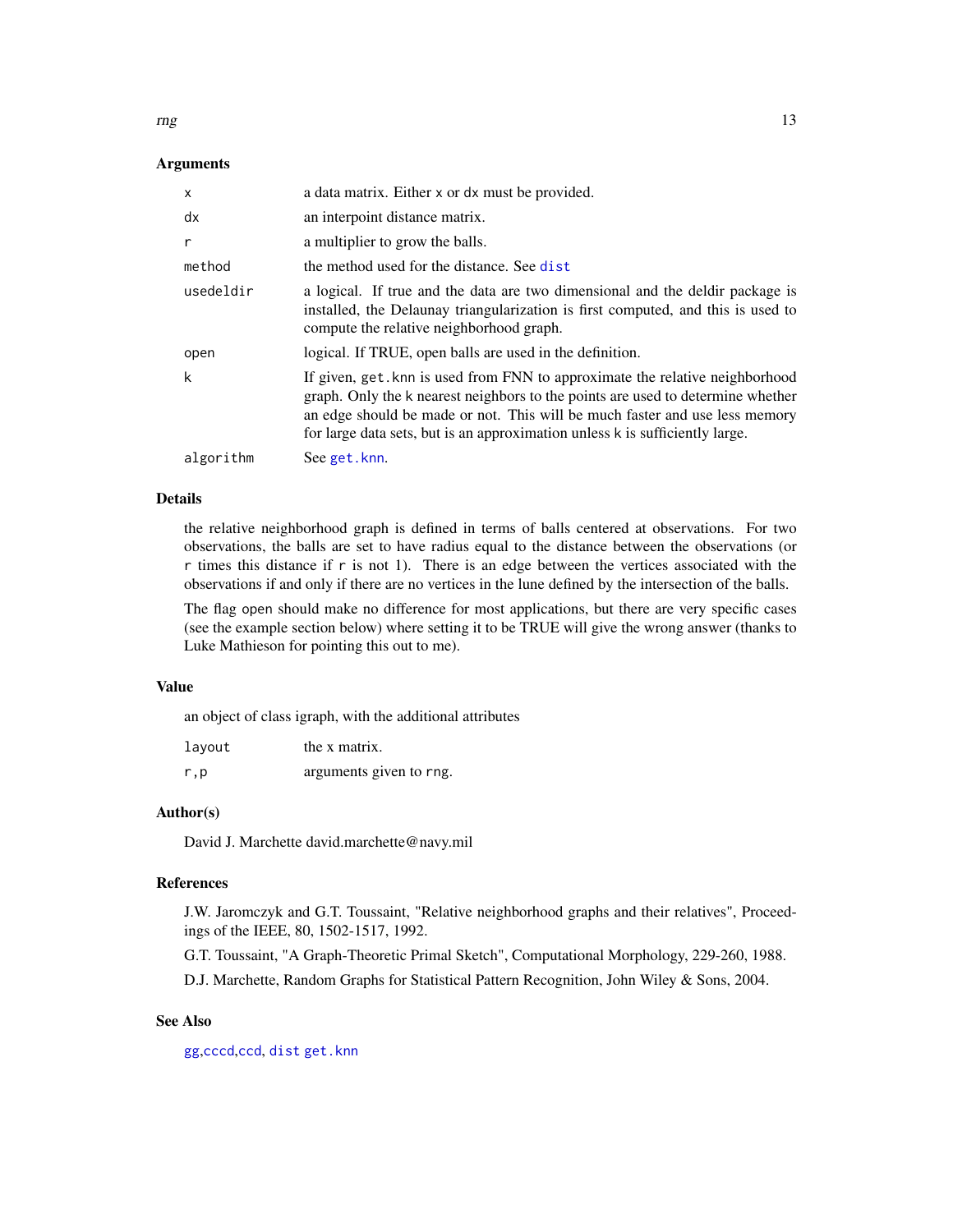<span id="page-12-0"></span> $\log$  13

#### Arguments

| $\times$  | a data matrix. Either x or dx must be provided.                                                                                                                                                                                                                                                                               |
|-----------|-------------------------------------------------------------------------------------------------------------------------------------------------------------------------------------------------------------------------------------------------------------------------------------------------------------------------------|
| dx        | an interpoint distance matrix.                                                                                                                                                                                                                                                                                                |
| r         | a multiplier to grow the balls.                                                                                                                                                                                                                                                                                               |
| method    | the method used for the distance. See dist                                                                                                                                                                                                                                                                                    |
| usedeldir | a logical. If true and the data are two dimensional and the deldir package is<br>installed, the Delaunay triangularization is first computed, and this is used to<br>compute the relative neighborhood graph.                                                                                                                 |
| open      | logical. If TRUE, open balls are used in the definition.                                                                                                                                                                                                                                                                      |
| k         | If given, get knn is used from FNN to approximate the relative neighborhood<br>graph. Only the k nearest neighbors to the points are used to determine whether<br>an edge should be made or not. This will be much faster and use less memory<br>for large data sets, but is an approximation unless k is sufficiently large. |
| algorithm | See get.knn.                                                                                                                                                                                                                                                                                                                  |

#### Details

the relative neighborhood graph is defined in terms of balls centered at observations. For two observations, the balls are set to have radius equal to the distance between the observations (or r times this distance if r is not 1). There is an edge between the vertices associated with the observations if and only if there are no vertices in the lune defined by the intersection of the balls.

The flag open should make no difference for most applications, but there are very specific cases (see the example section below) where setting it to be TRUE will give the wrong answer (thanks to Luke Mathieson for pointing this out to me).

#### Value

an object of class igraph, with the additional attributes

| layout | the x matrix.           |
|--------|-------------------------|
| r, p   | arguments given to rng. |

#### Author(s)

David J. Marchette david.marchette@navy.mil

#### References

J.W. Jaromczyk and G.T. Toussaint, "Relative neighborhood graphs and their relatives", Proceedings of the IEEE, 80, 1502-1517, 1992.

G.T. Toussaint, "A Graph-Theoretic Primal Sketch", Computational Morphology, 229-260, 1988.

D.J. Marchette, Random Graphs for Statistical Pattern Recognition, John Wiley & Sons, 2004.

#### See Also

[gg](#page-6-1),[cccd](#page-1-1),[ccd](#page-4-1), [dist](#page-0-0) [get.knn](#page-0-0)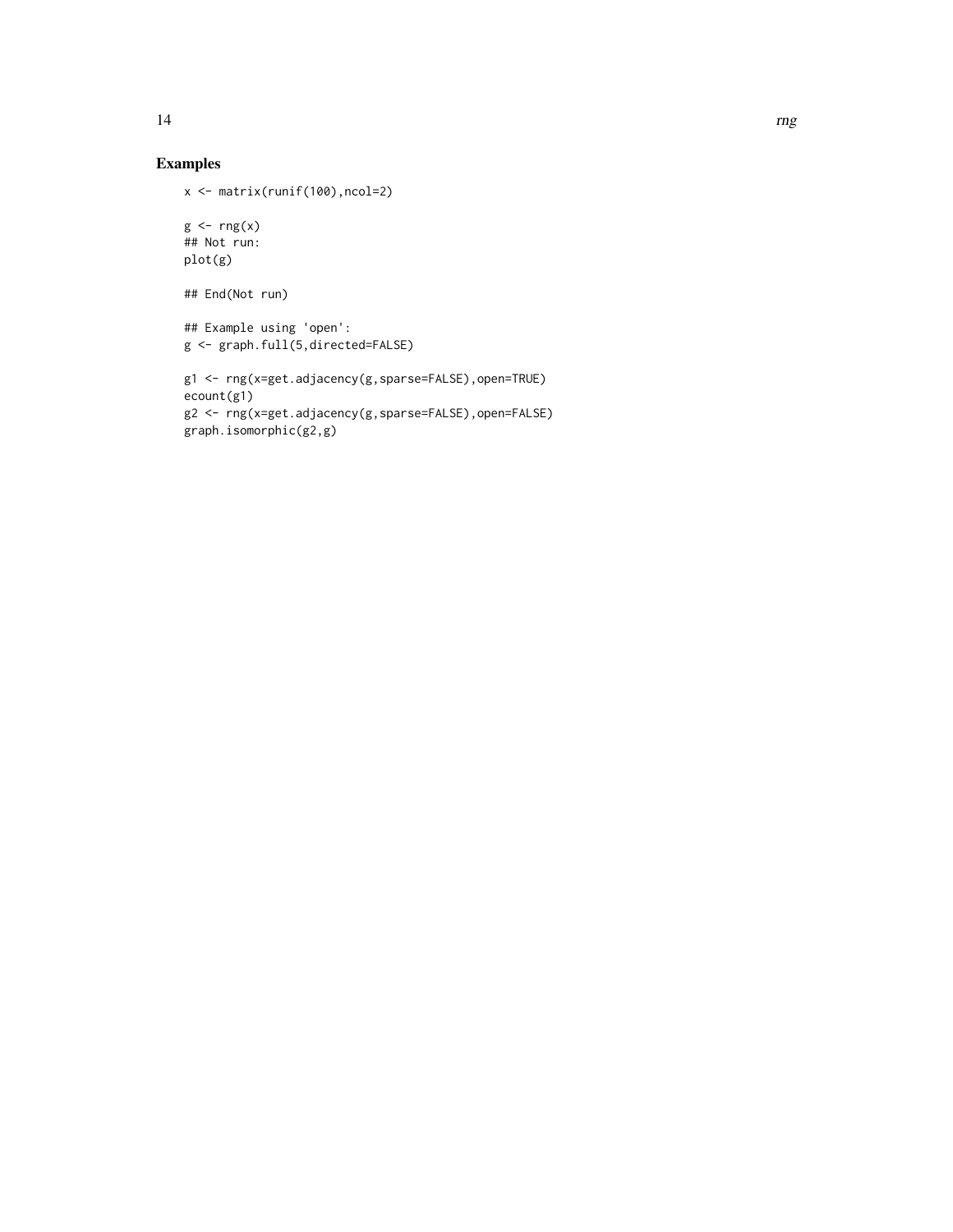# Examples

```
x <- matrix(runif(100),ncol=2)
```

```
g \leftarrow rng(x)## Not run:
plot(g)
```

```
## End(Not run)
```

```
## Example using 'open':
g <- graph.full(5,directed=FALSE)
```

```
g1 <- rng(x=get.adjacency(g,sparse=FALSE),open=TRUE)
ecount(g1)
g2 <- rng(x=get.adjacency(g,sparse=FALSE),open=FALSE)
graph.isomorphic(g2,g)
```